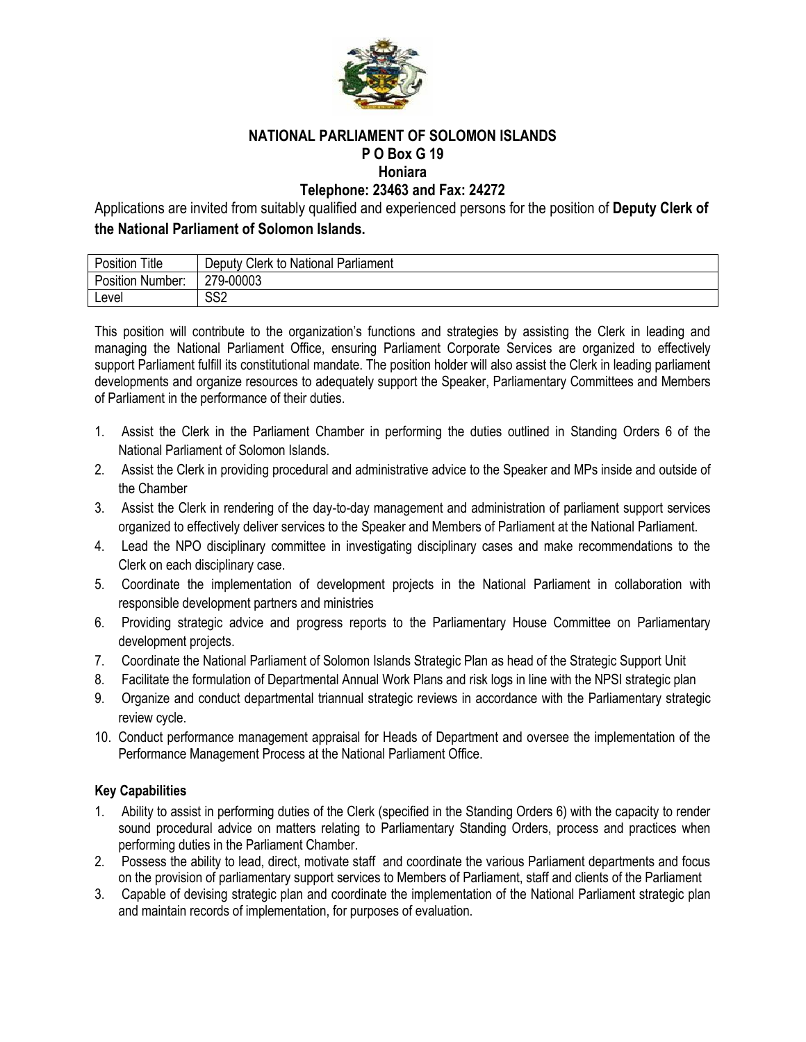

#### **NATIONAL PARLIAMENT OF SOLOMON ISLANDS P O Box G 19 Honiara**

## **Telephone: 23463 and Fax: 24272**

Applications are invited from suitably qualified and experienced persons for the position of **Deputy Clerk of the National Parliament of Solomon Islands.**

| Title<br><br>Position | Clerk to National<br>⊃eputy ∪<br>Parliament |
|-----------------------|---------------------------------------------|
| Position i<br>Number: | 279-00003                                   |
| Level                 | cco<br>১১૮                                  |

This position will contribute to the organization's functions and strategies by assisting the Clerk in leading and managing the National Parliament Office, ensuring Parliament Corporate Services are organized to effectively support Parliament fulfill its constitutional mandate. The position holder will also assist the Clerk in leading parliament developments and organize resources to adequately support the Speaker, Parliamentary Committees and Members of Parliament in the performance of their duties.

- 1. Assist the Clerk in the Parliament Chamber in performing the duties outlined in Standing Orders 6 of the National Parliament of Solomon Islands.
- 2. Assist the Clerk in providing procedural and administrative advice to the Speaker and MPs inside and outside of the Chamber
- 3. Assist the Clerk in rendering of the day-to-day management and administration of parliament support services organized to effectively deliver services to the Speaker and Members of Parliament at the National Parliament.
- 4. Lead the NPO disciplinary committee in investigating disciplinary cases and make recommendations to the Clerk on each disciplinary case.
- 5. Coordinate the implementation of development projects in the National Parliament in collaboration with responsible development partners and ministries
- 6. Providing strategic advice and progress reports to the Parliamentary House Committee on Parliamentary development projects.
- 7. Coordinate the National Parliament of Solomon Islands Strategic Plan as head of the Strategic Support Unit
- 8. Facilitate the formulation of Departmental Annual Work Plans and risk logs in line with the NPSI strategic plan
- 9. Organize and conduct departmental triannual strategic reviews in accordance with the Parliamentary strategic review cycle.
- 10. Conduct performance management appraisal for Heads of Department and oversee the implementation of the Performance Management Process at the National Parliament Office.

#### **Key Capabilities**

- 1. Ability to assist in performing duties of the Clerk (specified in the Standing Orders 6) with the capacity to render sound procedural advice on matters relating to Parliamentary Standing Orders, process and practices when performing duties in the Parliament Chamber.
- 2. Possess the ability to lead, direct, motivate staff and coordinate the various Parliament departments and focus on the provision of parliamentary support services to Members of Parliament, staff and clients of the Parliament
- 3. Capable of devising strategic plan and coordinate the implementation of the National Parliament strategic plan and maintain records of implementation, for purposes of evaluation.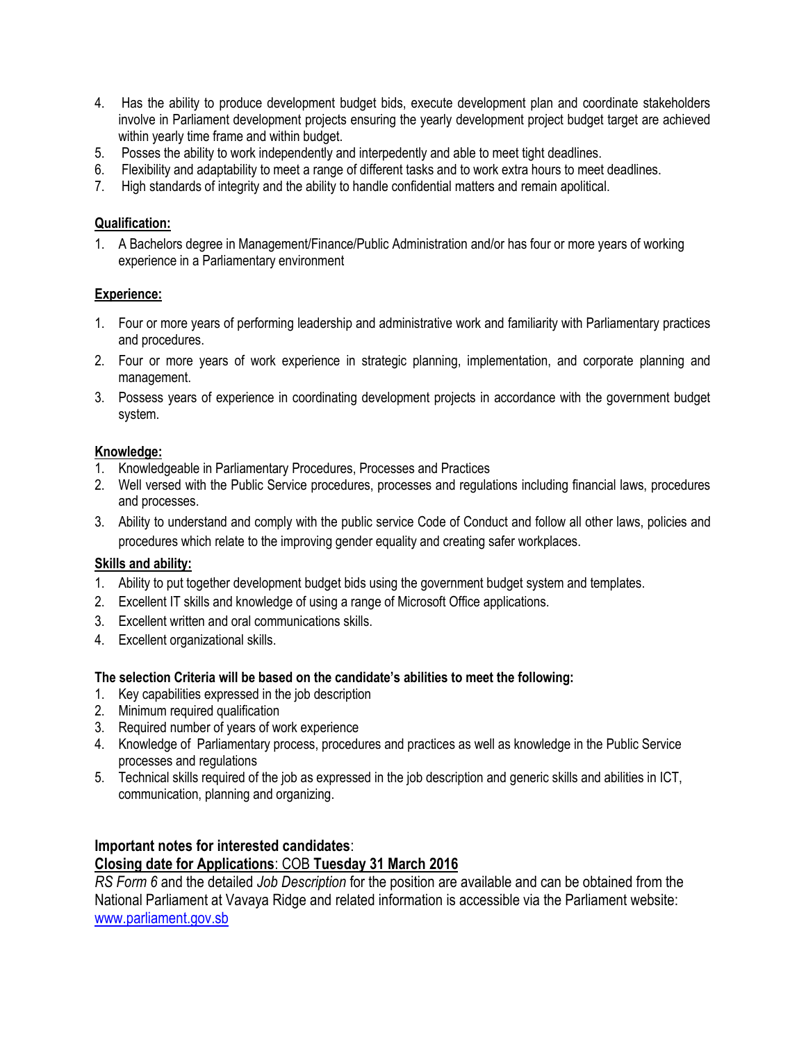- 4. Has the ability to produce development budget bids, execute development plan and coordinate stakeholders involve in Parliament development projects ensuring the yearly development project budget target are achieved within yearly time frame and within budget.
- 5. Posses the ability to work independently and interpedently and able to meet tight deadlines.
- 6. Flexibility and adaptability to meet a range of different tasks and to work extra hours to meet deadlines.
- 7. High standards of integrity and the ability to handle confidential matters and remain apolitical.

### **Qualification:**

1. A Bachelors degree in Management/Finance/Public Administration and/or has four or more years of working experience in a Parliamentary environment

### **Experience:**

- 1. Four or more years of performing leadership and administrative work and familiarity with Parliamentary practices and procedures.
- 2. Four or more years of work experience in strategic planning, implementation, and corporate planning and management.
- 3. Possess years of experience in coordinating development projects in accordance with the government budget system.

### **Knowledge:**

- 1. Knowledgeable in Parliamentary Procedures, Processes and Practices
- 2. Well versed with the Public Service procedures, processes and regulations including financial laws, procedures and processes.
- 3. Ability to understand and comply with the public service Code of Conduct and follow all other laws, policies and procedures which relate to the improving gender equality and creating safer workplaces.

#### **Skills and ability:**

- 1. Ability to put together development budget bids using the government budget system and templates.
- 2. Excellent IT skills and knowledge of using a range of Microsoft Office applications.
- 3. Excellent written and oral communications skills.
- 4. Excellent organizational skills.

#### **The selection Criteria will be based on the candidate's abilities to meet the following:**

- 1. Key capabilities expressed in the job description
- 2. Minimum required qualification
- 3. Required number of years of work experience
- 4. Knowledge of Parliamentary process, procedures and practices as well as knowledge in the Public Service processes and regulations
- 5. Technical skills required of the job as expressed in the job description and generic skills and abilities in ICT, communication, planning and organizing.

## **Important notes for interested candidates**: **Closing date for Applications**: COB **Tuesday 31 March 2016**

*RS Form 6* and the detailed *Job Description* for the position are available and can be obtained from the National Parliament at Vavaya Ridge and related information is accessible via the Parliament website: [www.parliament.gov.sb](http://www.parliament.gov.sb/)